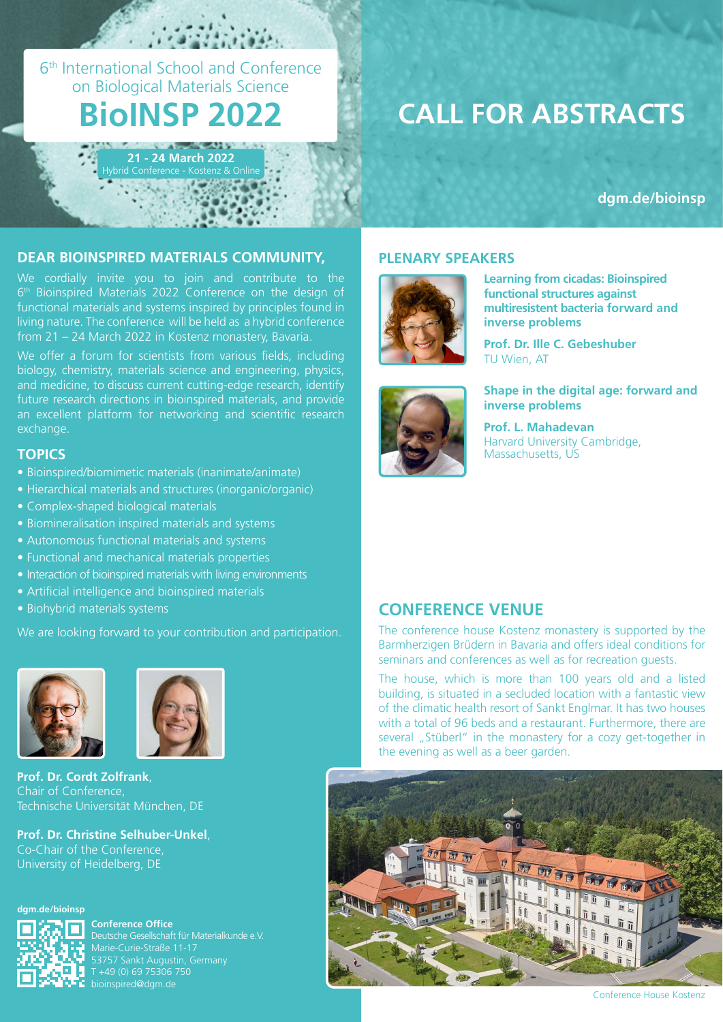6th International School and Conference on Biological Materials Science

# **BioINSP 2022**

**21 - 24 March 2022** brid Conference - Kostenz & Onli

# **CALL FOR ABSTRACTS**

**[dgm.de/bioinsp](https://dgm.de/bioinsp/2022)**

### **DEAR BIOINSPIRED MATERIALS COMMUNITY, PLENARY SPEAKERS**

We cordially invite you to join and contribute to the 6<sup>th</sup> Bioinspired Materials 2022 Conference on the design of functional materials and systems inspired by principles found in living nature. The conference will be held as a hybrid conference from 21 – 24 March 2022 in Kostenz monastery, Bavaria.

We offer a forum for scientists from various fields, including biology, chemistry, materials science and engineering, physics, and medicine, to discuss current cutting-edge research, identify future research directions in bioinspired materials, and provide an excellent platform for networking and scientific research exchange.

### **TOPICS**

- Bioinspired/biomimetic materials (inanimate/animate)
- Hierarchical materials and structures (inorganic/organic)
- Complex-shaped biological materials
- Biomineralisation inspired materials and systems
- Autonomous functional materials and systems
- Functional and mechanical materials properties
- Interaction of bioinspired materials with living environments
- Artificial intelligence and bioinspired materials
- Biohybrid materials systems

We are looking forward to your contribution and participation.





**Prof. Dr. Cordt Zolfrank**, Chair of Conference, Technische Universität München, DE

**Prof. Dr. Christine Selhuber-Unkel**, Co-Chair of the Conference, University of Heidelberg, DE





**Conference Office** Marie-Curie-Straße 11-17 53757 Sankt Augustin, Germany T +49 (0) 69 75306 750 bioinspired@dgm.de



**Learning from cicadas: Bioinspired functional structures against multiresistent bacteria forward and inverse problems**

**Prof. Dr. Ille C. Gebeshuber**  TU Wien, AT



**Shape in the digital age: forward and inverse problems**

**Prof. L. Mahadevan** Harvard University Cambridge, Massachusetts, US

### **CONFERENCE VENUE**

The conference house Kostenz monastery is supported by the Barmherzigen Brüdern in Bavaria and offers ideal conditions for seminars and conferences as well as for recreation guests.

The house, which is more than 100 years old and a listed building, is situated in a secluded location with a fantastic view of the climatic health resort of Sankt Englmar. It has two houses with a total of 96 beds and a restaurant. Furthermore, there are several "Stüberl" in the monastery for a cozy get-together in the evening as well as a beer garden.



Conference House Kostenz